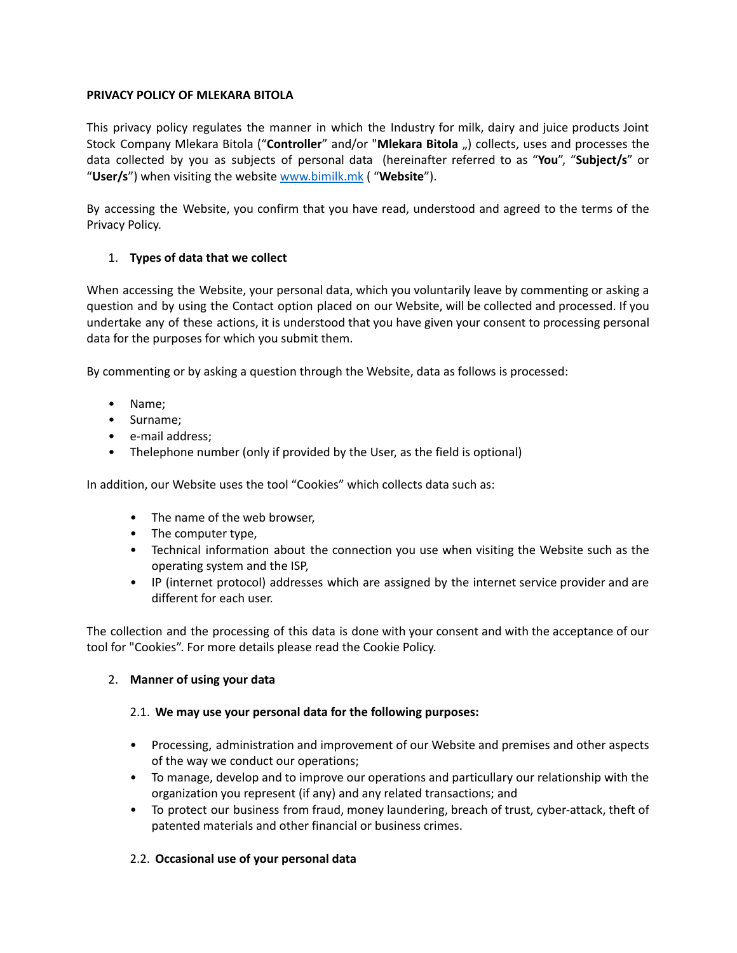# **PRIVACY POLICY OF MLEKARA BITOLA**

This privacy policy regulates the manner in which the Industry for milk, dairy and juice products Joint Stock Company Mlekara Bitola ("**Controller**" and/or "**Mlekara Bitola** ") collects, uses and processes the data collected by you as subjects of personal data (hereinafter referred to as "**You**", "**Subject/s**" or "**User/s**") when visiting the website [www.bimilk.mk](http://www.bimilk.mk/) ( "**Website**").

By accessing the Website, you confirm that you have read, understood and agreed to the terms of the Privacy Policy.

# 1. **Types of data that we collect**

When accessing the Website, your personal data, which you voluntarily leave by commenting or asking a question and by using the Contact option placed on our Website, will be collected and processed. If you undertake any of these actions, it is understood that you have given your consent to processing personal data for the purposes for which you submit them.

By commenting or by asking a question through the Website, data as follows is processed:

- Name;
- Surname;
- e-mail address;
- Thelephone number (only if provided by the User, as the field is optional)

In addition, our Website uses the tool "Cookies" which collects data such as:

- The name of the web browser,
- The computer type,
- Technical information about the connection you use when visiting the Website such as the operating system and the ISP,
- IP (internet protocol) addresses which are assigned by the internet service provider and are different for each user.

The collection and the processing of this data is done with your consent and with the acceptance of our tool for "Cookies". For more details please read the Cookie Policy.

## 2. **Manner of using your data**

## 2.1. **We may use your personal data for the following purposes:**

- Processing, administration and improvement of our Website and premises and other aspects of the way we conduct our operations;
- To manage, develop and to improve our operations and particullary our relationship with the organization you represent (if any) and any related transactions; and
- To protect our business from fraud, money laundering, breach of trust, cyber-attack, theft of patented materials and other financial or business crimes.

## 2.2. **Occasional use of your personal data**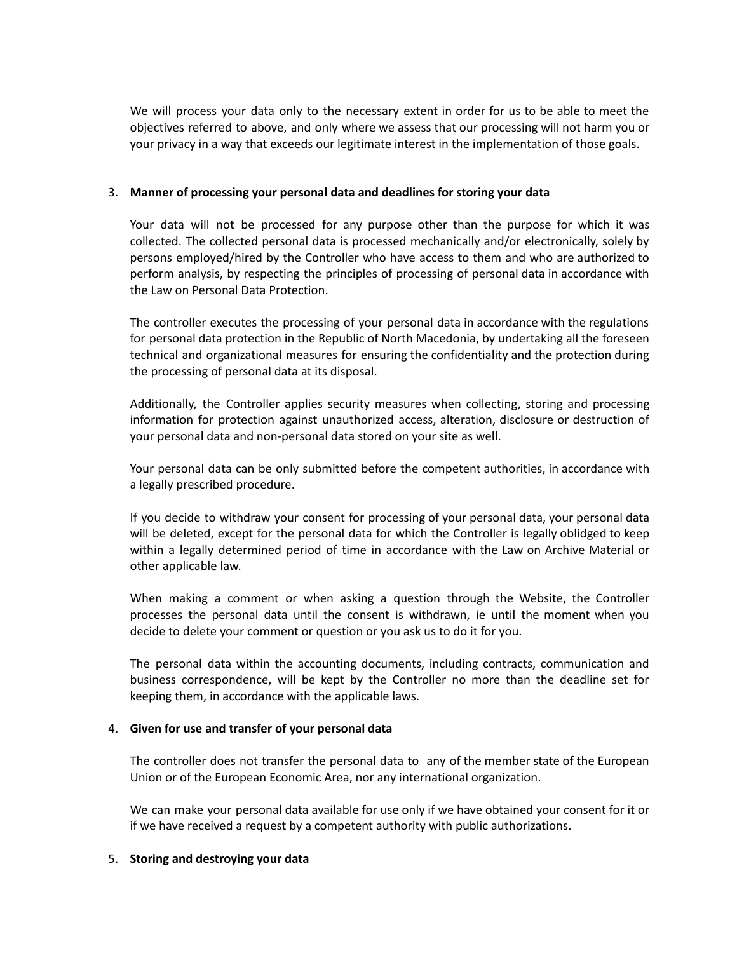We will process your data only to the necessary extent in order for us to be able to meet the objectives referred to above, and only where we assess that our processing will not harm you or your privacy in a way that exceeds our legitimate interest in the implementation of those goals.

### 3. **Manner of processing your personal data and deadlines for storing your data**

Your data will not be processed for any purpose other than the purpose for which it was collected. The collected personal data is processed mechanically and/or electronically, solely by persons employed/hired by the Controller who have access to them and who are authorized to perform analysis, by respecting the principles of processing of personal data in accordance with the Law on Personal Data Protection.

The controller executes the processing of your personal data in accordance with the regulations for personal data protection in the Republic of North Macedonia, by undertaking all the foreseen technical and organizational measures for ensuring the confidentiality and the protection during the processing of personal data at its disposal.

Additionally, the Controller applies security measures when collecting, storing and processing information for protection against unauthorized access, alteration, disclosure or destruction of your personal data and non-personal data stored on your site as well.

Your personal data can be only submitted before the competent authorities, in accordance with a legally prescribed procedure.

If you decide to withdraw your consent for processing of your personal data, your personal data will be deleted, except for the personal data for which the Controller is legally oblidged to keep within a legally determined period of time in accordance with the Law on Archive Material or other applicable law.

When making a comment or when asking a question through the Website, the Controller processes the personal data until the consent is withdrawn, ie until the moment when you decide to delete your comment or question or you ask us to do it for you.

The personal data within the accounting documents, including contracts, communication and business correspondence, will be kept by the Controller no more than the deadline set for keeping them, in accordance with the applicable laws.

#### 4. **Given for use and transfer of your personal data**

The controller does not transfer the personal data to any of the member state of the European Union or of the European Economic Area, nor any international organization.

We can make your personal data available for use only if we have obtained your consent for it or if we have received a request by a competent authority with public authorizations.

#### 5. **Storing and destroying your data**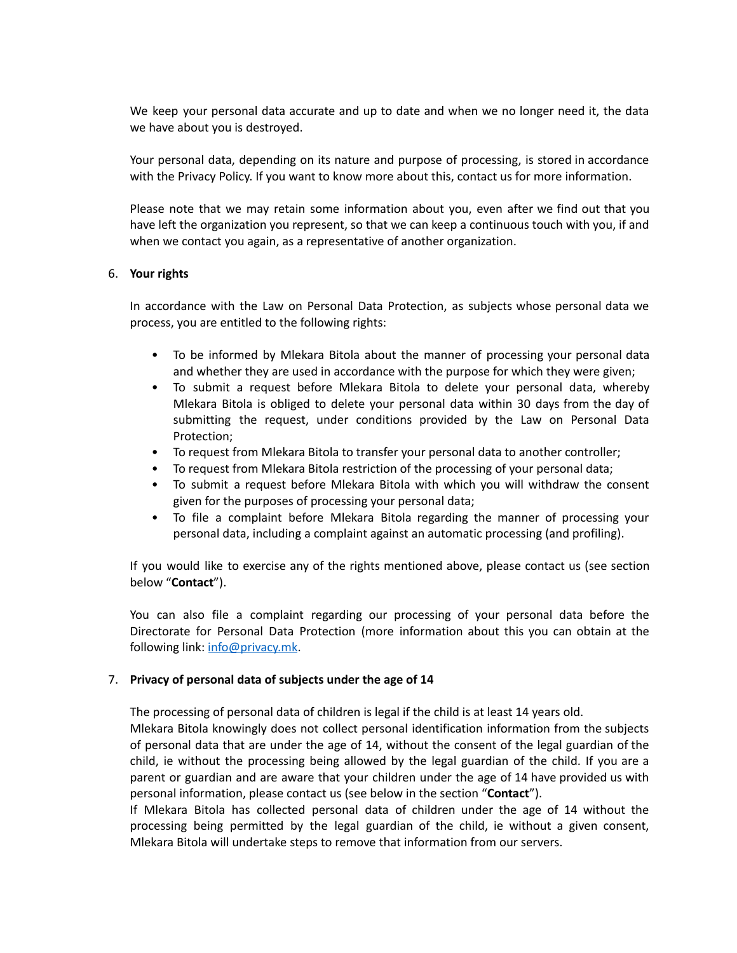We keep your personal data accurate and up to date and when we no longer need it, the data we have about you is destroyed.

Your personal data, depending on its nature and purpose of processing, is stored in accordance with the Privacy Policy. If you want to know more about this, contact us for more information.

Please note that we may retain some information about you, even after we find out that you have left the organization you represent, so that we can keep a continuous touch with you, if and when we contact you again, as a representative of another organization.

### 6. **Your rights**

In accordance with the Law on Personal Data Protection, as subjects whose personal data we process, you are entitled to the following rights:

- To be informed by Mlekara Bitola about the manner of processing your personal data and whether they are used in accordance with the purpose for which they were given;
- To submit a request before Mlekara Bitola to delete your personal data, whereby Mlekara Bitola is obliged to delete your personal data within 30 days from the day of submitting the request, under conditions provided by the Law on Personal Data Protection;
- To request from Mlekara Bitola to transfer your personal data to another controller;
- To request from Mlekara Bitola restriction of the processing of your personal data;
- To submit a request before Mlekara Bitola with which you will withdraw the consent given for the purposes of processing your personal data;
- To file a complaint before Mlekara Bitola regarding the manner of processing your personal data, including a complaint against an automatic processing (and profiling).

If you would like to exercise any of the rights mentioned above, please contact us (see section below "**Contact**").

You can also file a complaint regarding our processing of your personal data before the Directorate for Personal Data Protection (more information about this you can obtain at the following link: [info@privacy.mk](mailto:info@privacy.mk).

## 7. **Privacy of personal data of subjects under the age of 14**

The processing of personal data of children is legal if the child is at least 14 years old. Mlekara Bitola knowingly does not collect personal identification information from the subjects of personal data that are under the age of 14, without the consent of the legal guardian of the child, ie without the processing being allowed by the legal guardian of the child. If you are a parent or guardian and are aware that your children under the age of 14 have provided us with personal information, please contact us (see below in the section "**Contact**").

If Mlekara Bitola has collected personal data of children under the age of 14 without the processing being permitted by the legal guardian of the child, ie without a given consent, Mlekara Bitola will undertake steps to remove that information from our servers.